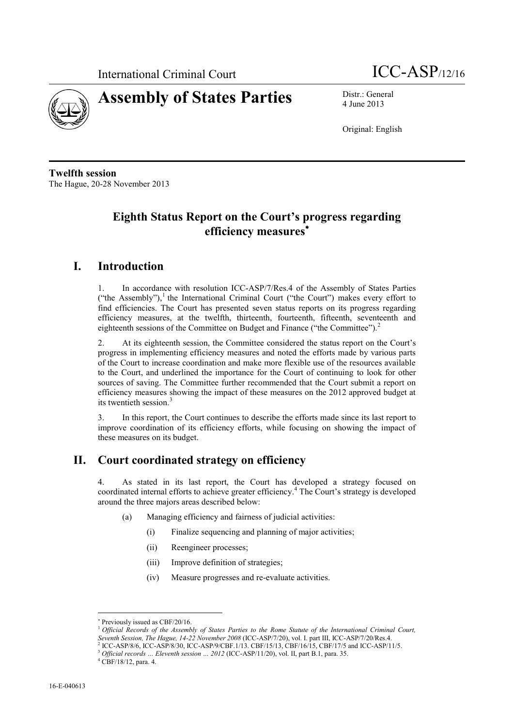



4 June 2013

Original: English

**Twelfth session** The Hague, 20-28 November 2013

# **Eighth Status Report on the Court's progress regarding efficiency measures**

# **I. Introduction**

1. In accordance with resolution ICC-ASP/7/Res.4 of the Assembly of States Parties ("the Assembly"),<sup>1</sup> the International Criminal Court ("the Court") makes every effort to find efficiencies. The Court has presented seven status reports on its progress regarding efficiency measures, at the twelfth, thirteenth, fourteenth, fifteenth, seventeenth and eighteenth sessions of the Committee on Budget and Finance ("the Committee").<sup>2</sup>

2. At its eighteenth session, the Committee considered the status report on the Court's progress in implementing efficiency measures and noted the efforts made by various parts of the Court to increase coordination and make more flexible use of the resources available to the Court, and underlined the importance for the Court of continuing to look for other sources of saving. The Committee further recommended that the Court submit a report on efficiency measures showing the impact of these measures on the 2012 approved budget at its twentieth session. 3

3. In this report, the Court continues to describe the efforts made since its last report to improve coordination of its efficiency efforts, while focusing on showing the impact of these measures on its budget.

# **II. Court coordinated strategy on efficiency**

4. As stated in its last report, the Court has developed a strategy focused on coordinated internal efforts to achieve greater efficiency. <sup>4</sup> The Court's strategy is developed around the three majors areas described below:

- (a) Managing efficiency and fairness of judicial activities:
	- (i) Finalize sequencing and planning of major activities;
	- (ii) Reengineer processes;
	- (iii) Improve definition of strategies;
	- (iv) Measure progresses and re-evaluate activities.

 $\overline{a}$ 

<sup>\*</sup> Previously issued as CBF/20/16.

<sup>1</sup> *Official Records of the Assembly of States Parties to the Rome Statute of the International Criminal Court, Seventh Session, The Hague, 14-22 November 2008* (ICC-ASP/7/20), vol. I. part III, ICC-ASP/7/20/Res.4.

<sup>2</sup> ICC-ASP/8/6, ICC-ASP/8/30, ICC-ASP/9/CBF.1/13. CBF/15/13, CBF/16/15, CBF/17/5 and ICC-ASP/11/5.

<sup>3</sup> *Official records … Eleventh session … 2012* (ICC-ASP/11/20), vol. II, part B.1, para. 35.

<sup>4</sup> CBF/18/12, para. 4.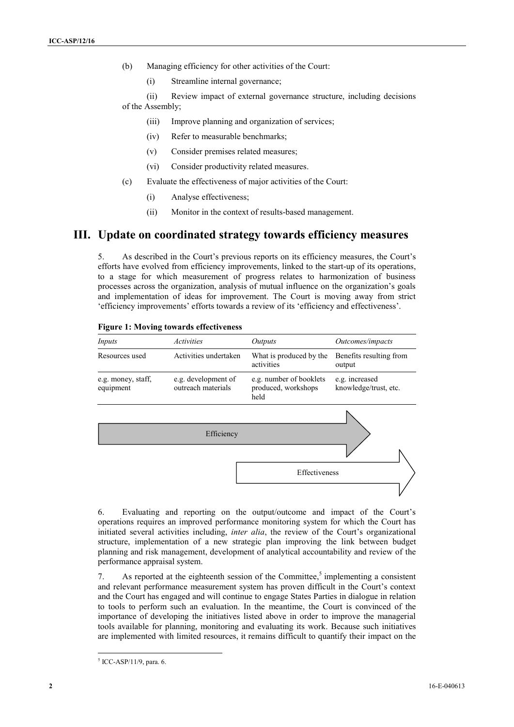- (b) Managing efficiency for other activities of the Court:
	- (i) Streamline internal governance;

(ii) Review impact of external governance structure, including decisions of the Assembly;

- (iii) Improve planning and organization of services;
- (iv) Refer to measurable benchmarks;
- (v) Consider premises related measures;
- (vi) Consider productivity related measures.
- (c) Evaluate the effectiveness of major activities of the Court:
	- (i) Analyse effectiveness;
	- (ii) Monitor in the context of results-based management.

## **III. Update on coordinated strategy towards efficiency measures**

5. As described in the Court's previous reports on its efficiency measures, the Court's efforts have evolved from efficiency improvements, linked to the start-up of its operations, to a stage for which measurement of progress relates to harmonization of business processes across the organization, analysis of mutual influence on the organization's goals and implementation of ideas for improvement. The Court is moving away from strict 'efficiency improvements' efforts towards a review of its 'efficiency and effectiveness'.



#### **Figure 1: Moving towards effectiveness**

6. Evaluating and reporting on the output/outcome and impact of the Court's operations requires an improved performance monitoring system for which the Court has initiated several activities including, *inter alia*, the review of the Court's organizational structure, implementation of a new strategic plan improving the link between budget planning and risk management, development of analytical accountability and review of the performance appraisal system.

7. As reported at the eighteenth session of the Committee, 5 implementing a consistent and relevant performance measurement system has proven difficult in the Court's context and the Court has engaged and will continue to engage States Parties in dialogue in relation to tools to perform such an evaluation. In the meantime, the Court is convinced of the importance of developing the initiatives listed above in order to improve the managerial tools available for planning, monitoring and evaluating its work. Because such initiatives are implemented with limited resources, it remains difficult to quantify their impact on the

<sup>5</sup> ICC-ASP/11/9, para. 6.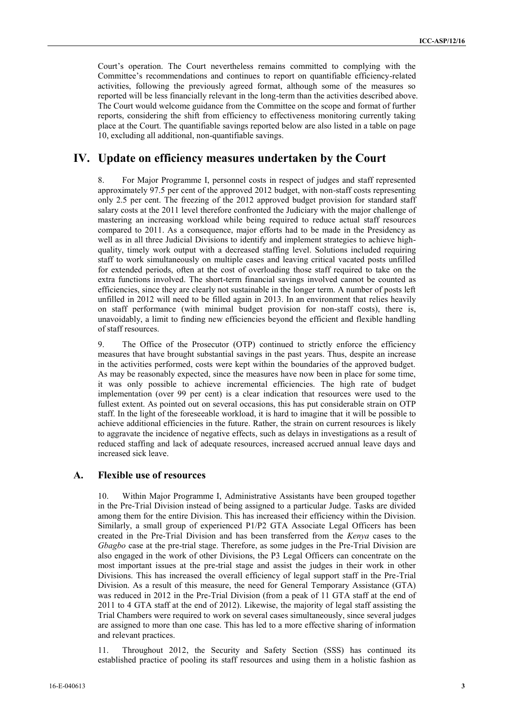Court's operation. The Court nevertheless remains committed to complying with the Committee's recommendations and continues to report on quantifiable efficiency-related activities, following the previously agreed format, although some of the measures so reported will be less financially relevant in the long-term than the activities described above. The Court would welcome guidance from the Committee on the scope and format of further reports, considering the shift from efficiency to effectiveness monitoring currently taking place at the Court. The quantifiable savings reported below are also listed in a table on page [10,](#page-9-0) excluding all additional, non-quantifiable savings.

## **IV. Update on efficiency measures undertaken by the Court**

8. For Major Programme I, personnel costs in respect of judges and staff represented approximately 97.5 per cent of the approved 2012 budget, with non-staff costs representing only 2.5 per cent. The freezing of the 2012 approved budget provision for standard staff salary costs at the 2011 level therefore confronted the Judiciary with the major challenge of mastering an increasing workload while being required to reduce actual staff resources compared to 2011. As a consequence, major efforts had to be made in the Presidency as well as in all three Judicial Divisions to identify and implement strategies to achieve highquality, timely work output with a decreased staffing level. Solutions included requiring staff to work simultaneously on multiple cases and leaving critical vacated posts unfilled for extended periods, often at the cost of overloading those staff required to take on the extra functions involved. The short-term financial savings involved cannot be counted as efficiencies, since they are clearly not sustainable in the longer term. A number of posts left unfilled in 2012 will need to be filled again in 2013. In an environment that relies heavily on staff performance (with minimal budget provision for non-staff costs), there is, unavoidably, a limit to finding new efficiencies beyond the efficient and flexible handling of staff resources.

9. The Office of the Prosecutor (OTP) continued to strictly enforce the efficiency measures that have brought substantial savings in the past years. Thus, despite an increase in the activities performed, costs were kept within the boundaries of the approved budget. As may be reasonably expected, since the measures have now been in place for some time, it was only possible to achieve incremental efficiencies. The high rate of budget implementation (over 99 per cent) is a clear indication that resources were used to the fullest extent. As pointed out on several occasions, this has put considerable strain on OTP staff. In the light of the foreseeable workload, it is hard to imagine that it will be possible to achieve additional efficiencies in the future. Rather, the strain on current resources is likely to aggravate the incidence of negative effects, such as delays in investigations as a result of reduced staffing and lack of adequate resources, increased accrued annual leave days and increased sick leave.

#### **A. Flexible use of resources**

10. Within Major Programme I, Administrative Assistants have been grouped together in the Pre-Trial Division instead of being assigned to a particular Judge. Tasks are divided among them for the entire Division. This has increased their efficiency within the Division. Similarly, a small group of experienced P1/P2 GTA Associate Legal Officers has been created in the Pre-Trial Division and has been transferred from the *Kenya* cases to the *Gbagbo* case at the pre-trial stage. Therefore, as some judges in the Pre-Trial Division are also engaged in the work of other Divisions, the P3 Legal Officers can concentrate on the most important issues at the pre-trial stage and assist the judges in their work in other Divisions. This has increased the overall efficiency of legal support staff in the Pre-Trial Division. As a result of this measure, the need for General Temporary Assistance (GTA) was reduced in 2012 in the Pre-Trial Division (from a peak of 11 GTA staff at the end of 2011 to 4 GTA staff at the end of 2012). Likewise, the majority of legal staff assisting the Trial Chambers were required to work on several cases simultaneously, since several judges are assigned to more than one case. This has led to a more effective sharing of information and relevant practices.

11. Throughout 2012, the Security and Safety Section (SSS) has continued its established practice of pooling its staff resources and using them in a holistic fashion as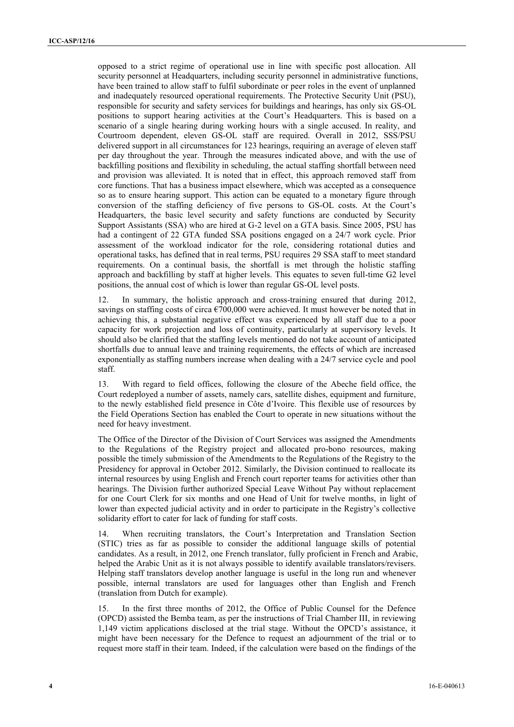opposed to a strict regime of operational use in line with specific post allocation. All security personnel at Headquarters, including security personnel in administrative functions, have been trained to allow staff to fulfil subordinate or peer roles in the event of unplanned and inadequately resourced operational requirements. The Protective Security Unit (PSU), responsible for security and safety services for buildings and hearings, has only six GS-OL positions to support hearing activities at the Court's Headquarters. This is based on a scenario of a single hearing during working hours with a single accused. In reality, and Courtroom dependent, eleven GS-OL staff are required. Overall in 2012, SSS/PSU delivered support in all circumstances for 123 hearings, requiring an average of eleven staff per day throughout the year. Through the measures indicated above, and with the use of backfilling positions and flexibility in scheduling, the actual staffing shortfall between need and provision was alleviated. It is noted that in effect, this approach removed staff from core functions. That has a business impact elsewhere, which was accepted as a consequence so as to ensure hearing support. This action can be equated to a monetary figure through conversion of the staffing deficiency of five persons to GS-OL costs. At the Court's Headquarters, the basic level security and safety functions are conducted by Security Support Assistants (SSA) who are hired at G-2 level on a GTA basis. Since 2005, PSU has had a contingent of 22 GTA funded SSA positions engaged on a 24/7 work cycle. Prior assessment of the workload indicator for the role, considering rotational duties and operational tasks, has defined that in real terms, PSU requires 29 SSA staff to meet standard requirements. On a continual basis, the shortfall is met through the holistic staffing approach and backfilling by staff at higher levels. This equates to seven full-time G2 level positions, the annual cost of which is lower than regular GS-OL level posts.

12. In summary, the holistic approach and cross-training ensured that during 2012, savings on staffing costs of circa  $\epsilon$ 700,000 were achieved. It must however be noted that in achieving this, a substantial negative effect was experienced by all staff due to a poor capacity for work projection and loss of continuity, particularly at supervisory levels. It should also be clarified that the staffing levels mentioned do not take account of anticipated shortfalls due to annual leave and training requirements, the effects of which are increased exponentially as staffing numbers increase when dealing with a 24/7 service cycle and pool staff.

13. With regard to field offices, following the closure of the Abeche field office, the Court redeployed a number of assets, namely cars, satellite dishes, equipment and furniture, to the newly established field presence in Côte d'Ivoire. This flexible use of resources by the Field Operations Section has enabled the Court to operate in new situations without the need for heavy investment.

The Office of the Director of the Division of Court Services was assigned the Amendments to the Regulations of the Registry project and allocated pro-bono resources, making possible the timely submission of the Amendments to the Regulations of the Registry to the Presidency for approval in October 2012. Similarly, the Division continued to reallocate its internal resources by using English and French court reporter teams for activities other than hearings. The Division further authorized Special Leave Without Pay without replacement for one Court Clerk for six months and one Head of Unit for twelve months, in light of lower than expected judicial activity and in order to participate in the Registry's collective solidarity effort to cater for lack of funding for staff costs.

14. When recruiting translators, the Court's Interpretation and Translation Section (STIC) tries as far as possible to consider the additional language skills of potential candidates. As a result, in 2012, one French translator, fully proficient in French and Arabic, helped the Arabic Unit as it is not always possible to identify available translators/revisers. Helping staff translators develop another language is useful in the long run and whenever possible, internal translators are used for languages other than English and French (translation from Dutch for example).

In the first three months of 2012, the Office of Public Counsel for the Defence (OPCD) assisted the Bemba team, as per the instructions of Trial Chamber III, in reviewing 1,149 victim applications disclosed at the trial stage. Without the OPCD's assistance, it might have been necessary for the Defence to request an adjournment of the trial or to request more staff in their team. Indeed, if the calculation were based on the findings of the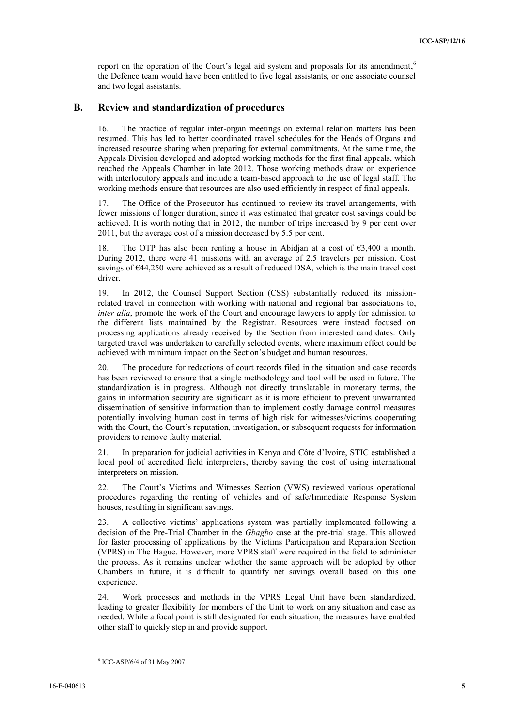report on the operation of the Court's legal aid system and proposals for its amendment,<sup>6</sup> the Defence team would have been entitled to five legal assistants, or one associate counsel and two legal assistants.

#### **B. Review and standardization of procedures**

The practice of regular inter-organ meetings on external relation matters has been resumed. This has led to better coordinated travel schedules for the Heads of Organs and increased resource sharing when preparing for external commitments. At the same time, the Appeals Division developed and adopted working methods for the first final appeals, which reached the Appeals Chamber in late 2012. Those working methods draw on experience with interlocutory appeals and include a team-based approach to the use of legal staff. The working methods ensure that resources are also used efficiently in respect of final appeals.

17. The Office of the Prosecutor has continued to review its travel arrangements, with fewer missions of longer duration, since it was estimated that greater cost savings could be achieved. It is worth noting that in 2012, the number of trips increased by 9 per cent over 2011, but the average cost of a mission decreased by 5.5 per cent.

18. The OTP has also been renting a house in Abidjan at a cost of €3,400 a month. During 2012, there were 41 missions with an average of 2.5 travelers per mission. Cost savings of  $644,250$  were achieved as a result of reduced DSA, which is the main travel cost driver.

19. In 2012, the Counsel Support Section (CSS) substantially reduced its missionrelated travel in connection with working with national and regional bar associations to, *inter alia*, promote the work of the Court and encourage lawyers to apply for admission to the different lists maintained by the Registrar. Resources were instead focused on processing applications already received by the Section from interested candidates. Only targeted travel was undertaken to carefully selected events, where maximum effect could be achieved with minimum impact on the Section's budget and human resources.

20. The procedure for redactions of court records filed in the situation and case records has been reviewed to ensure that a single methodology and tool will be used in future. The standardization is in progress. Although not directly translatable in monetary terms, the gains in information security are significant as it is more efficient to prevent unwarranted dissemination of sensitive information than to implement costly damage control measures potentially involving human cost in terms of high risk for witnesses/victims cooperating with the Court, the Court's reputation, investigation, or subsequent requests for information providers to remove faulty material.

21. In preparation for judicial activities in Kenya and Côte d'Ivoire, STIC established a local pool of accredited field interpreters, thereby saving the cost of using international interpreters on mission.

22. The Court's Victims and Witnesses Section (VWS) reviewed various operational procedures regarding the renting of vehicles and of safe/Immediate Response System houses, resulting in significant savings.

23. A collective victims' applications system was partially implemented following a decision of the Pre-Trial Chamber in the *Gbagbo* case at the pre-trial stage. This allowed for faster processing of applications by the Victims Participation and Reparation Section (VPRS) in The Hague. However, more VPRS staff were required in the field to administer the process. As it remains unclear whether the same approach will be adopted by other Chambers in future, it is difficult to quantify net savings overall based on this one experience.

24. Work processes and methods in the VPRS Legal Unit have been standardized, leading to greater flexibility for members of the Unit to work on any situation and case as needed. While a focal point is still designated for each situation, the measures have enabled other staff to quickly step in and provide support.

<sup>6</sup> ICC-ASP/6/4 of 31 May 2007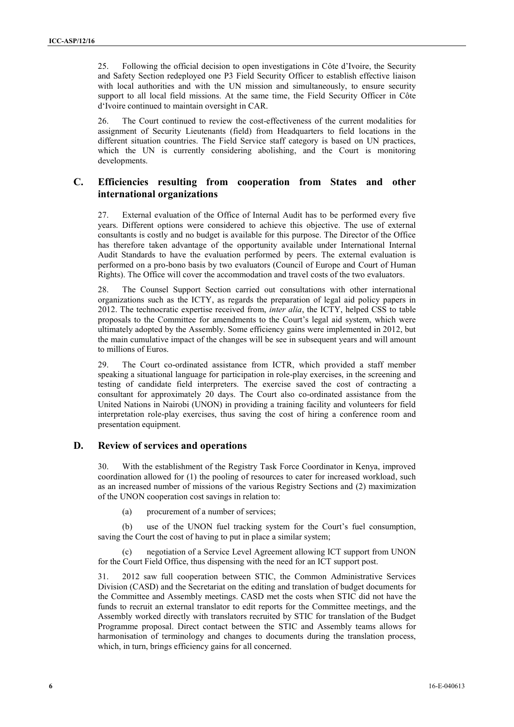25. Following the official decision to open investigations in Côte d'Ivoire, the Security and Safety Section redeployed one P3 Field Security Officer to establish effective liaison with local authorities and with the UN mission and simultaneously, to ensure security support to all local field missions. At the same time, the Field Security Officer in Côte d'Ivoire continued to maintain oversight in CAR.

26. The Court continued to review the cost-effectiveness of the current modalities for assignment of Security Lieutenants (field) from Headquarters to field locations in the different situation countries. The Field Service staff category is based on UN practices, which the UN is currently considering abolishing, and the Court is monitoring developments.

## **C. Efficiencies resulting from cooperation from States and other international organizations**

27. External evaluation of the Office of Internal Audit has to be performed every five years. Different options were considered to achieve this objective. The use of external consultants is costly and no budget is available for this purpose. The Director of the Office has therefore taken advantage of the opportunity available under International Internal Audit Standards to have the evaluation performed by peers. The external evaluation is performed on a pro-bono basis by two evaluators (Council of Europe and Court of Human Rights). The Office will cover the accommodation and travel costs of the two evaluators.

28. The Counsel Support Section carried out consultations with other international organizations such as the ICTY, as regards the preparation of legal aid policy papers in 2012. The technocratic expertise received from, *inter alia*, the ICTY, helped CSS to table proposals to the Committee for amendments to the Court's legal aid system, which were ultimately adopted by the Assembly. Some efficiency gains were implemented in 2012, but the main cumulative impact of the changes will be see in subsequent years and will amount to millions of Euros.

29. The Court co-ordinated assistance from ICTR, which provided a staff member speaking a situational language for participation in role-play exercises, in the screening and testing of candidate field interpreters. The exercise saved the cost of contracting a consultant for approximately 20 days. The Court also co-ordinated assistance from the United Nations in Nairobi (UNON) in providing a training facility and volunteers for field interpretation role-play exercises, thus saving the cost of hiring a conference room and presentation equipment.

#### **D. Review of services and operations**

30. With the establishment of the Registry Task Force Coordinator in Kenya, improved coordination allowed for (1) the pooling of resources to cater for increased workload, such as an increased number of missions of the various Registry Sections and (2) maximization of the UNON cooperation cost savings in relation to:

(a) procurement of a number of services;

(b) use of the UNON fuel tracking system for the Court's fuel consumption, saving the Court the cost of having to put in place a similar system;

negotiation of a Service Level Agreement allowing ICT support from UNON for the Court Field Office, thus dispensing with the need for an ICT support post.

31. 2012 saw full cooperation between STIC, the Common Administrative Services Division (CASD) and the Secretariat on the editing and translation of budget documents for the Committee and Assembly meetings. CASD met the costs when STIC did not have the funds to recruit an external translator to edit reports for the Committee meetings, and the Assembly worked directly with translators recruited by STIC for translation of the Budget Programme proposal. Direct contact between the STIC and Assembly teams allows for harmonisation of terminology and changes to documents during the translation process, which, in turn, brings efficiency gains for all concerned.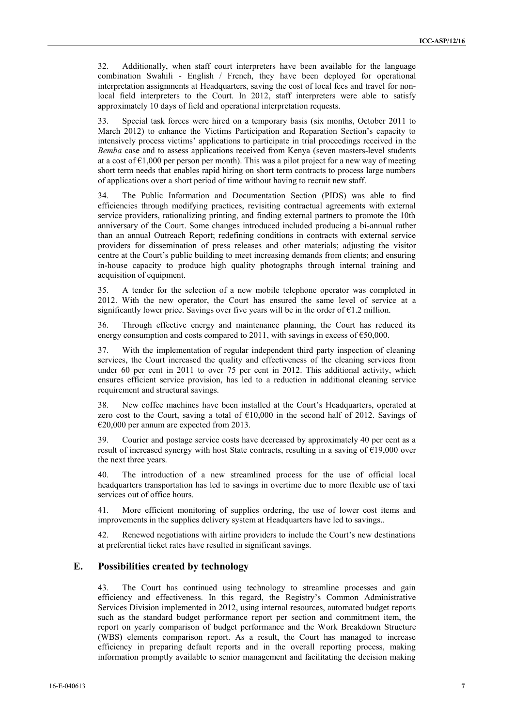32. Additionally, when staff court interpreters have been available for the language combination Swahili - English / French, they have been deployed for operational interpretation assignments at Headquarters, saving the cost of local fees and travel for nonlocal field interpreters to the Court. In 2012, staff interpreters were able to satisfy approximately 10 days of field and operational interpretation requests.

33. Special task forces were hired on a temporary basis (six months, October 2011 to March 2012) to enhance the Victims Participation and Reparation Section's capacity to intensively process victims' applications to participate in trial proceedings received in the *Bemba* case and to assess applications received from Kenya (seven masters-level students at a cost of  $\epsilon$ 1,000 per person per month). This was a pilot project for a new way of meeting short term needs that enables rapid hiring on short term contracts to process large numbers of applications over a short period of time without having to recruit new staff.

34. The Public Information and Documentation Section (PIDS) was able to find efficiencies through modifying practices, revisiting contractual agreements with external service providers, rationalizing printing, and finding external partners to promote the 10th anniversary of the Court. Some changes introduced included producing a bi-annual rather than an annual Outreach Report; redefining conditions in contracts with external service providers for dissemination of press releases and other materials; adjusting the visitor centre at the Court's public building to meet increasing demands from clients; and ensuring in-house capacity to produce high quality photographs through internal training and acquisition of equipment.

35. A tender for the selection of a new mobile telephone operator was completed in 2012. With the new operator, the Court has ensured the same level of service at a significantly lower price. Savings over five years will be in the order of  $\epsilon$ 1.2 million.

36. Through effective energy and maintenance planning, the Court has reduced its energy consumption and costs compared to 2011, with savings in excess of  $\epsilon$ 50,000.

37. With the implementation of regular independent third party inspection of cleaning services, the Court increased the quality and effectiveness of the cleaning services from under 60 per cent in 2011 to over 75 per cent in 2012. This additional activity, which ensures efficient service provision, has led to a reduction in additional cleaning service requirement and structural savings.

38. New coffee machines have been installed at the Court's Headquarters, operated at zero cost to the Court, saving a total of  $£10,000$  in the second half of 2012. Savings of €20,000 per annum are expected from 2013.

39. Courier and postage service costs have decreased by approximately 40 per cent as a result of increased synergy with host State contracts, resulting in a saving of  $E19,000$  over the next three years.

The introduction of a new streamlined process for the use of official local headquarters transportation has led to savings in overtime due to more flexible use of taxi services out of office hours.

41. More efficient monitoring of supplies ordering, the use of lower cost items and improvements in the supplies delivery system at Headquarters have led to savings..

42. Renewed negotiations with airline providers to include the Court's new destinations at preferential ticket rates have resulted in significant savings.

## **E. Possibilities created by technology**

43. The Court has continued using technology to streamline processes and gain efficiency and effectiveness. In this regard, the Registry's Common Administrative Services Division implemented in 2012, using internal resources, automated budget reports such as the standard budget performance report per section and commitment item, the report on yearly comparison of budget performance and the Work Breakdown Structure (WBS) elements comparison report. As a result, the Court has managed to increase efficiency in preparing default reports and in the overall reporting process, making information promptly available to senior management and facilitating the decision making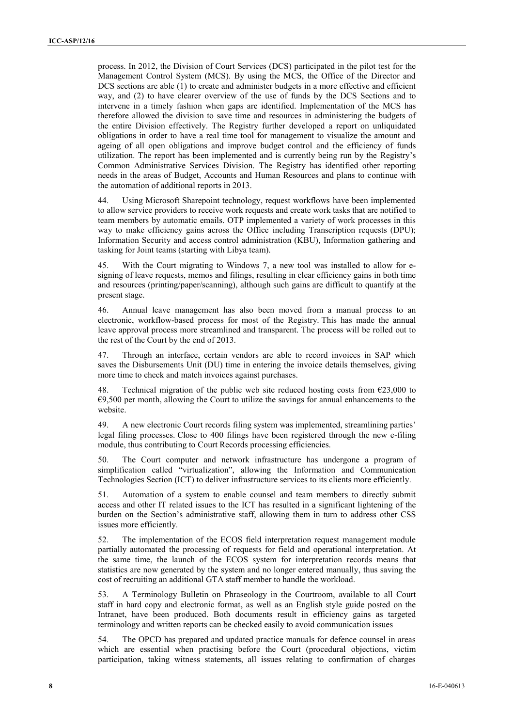process. In 2012, the Division of Court Services (DCS) participated in the pilot test for the Management Control System (MCS). By using the MCS, the Office of the Director and DCS sections are able (1) to create and administer budgets in a more effective and efficient way, and (2) to have clearer overview of the use of funds by the DCS Sections and to intervene in a timely fashion when gaps are identified. Implementation of the MCS has therefore allowed the division to save time and resources in administering the budgets of the entire Division effectively. The Registry further developed a report on unliquidated obligations in order to have a real time tool for management to visualize the amount and ageing of all open obligations and improve budget control and the efficiency of funds utilization. The report has been implemented and is currently being run by the Registry's Common Administrative Services Division. The Registry has identified other reporting needs in the areas of Budget, Accounts and Human Resources and plans to continue with the automation of additional reports in 2013.

44. Using Microsoft Sharepoint technology, request workflows have been implemented to allow service providers to receive work requests and create work tasks that are notified to team members by automatic emails. OTP implemented a variety of work processes in this way to make efficiency gains across the Office including Transcription requests (DPU); Information Security and access control administration (KBU), Information gathering and tasking for Joint teams (starting with Libya team).

45. With the Court migrating to Windows 7, a new tool was installed to allow for esigning of leave requests, memos and filings, resulting in clear efficiency gains in both time and resources (printing/paper/scanning), although such gains are difficult to quantify at the present stage.

46. Annual leave management has also been moved from a manual process to an electronic, workflow-based process for most of the Registry. This has made the annual leave approval process more streamlined and transparent. The process will be rolled out to the rest of the Court by the end of 2013.

47. Through an interface, certain vendors are able to record invoices in SAP which saves the Disbursements Unit (DU) time in entering the invoice details themselves, giving more time to check and match invoices against purchases.

Technical migration of the public web site reduced hosting costs from  $\epsilon$ 23,000 to  $\epsilon$ 9,500 per month, allowing the Court to utilize the savings for annual enhancements to the website.

49. A new electronic Court records filing system was implemented, streamlining parties' legal filing processes. Close to 400 filings have been registered through the new e-filing module, thus contributing to Court Records processing efficiencies.

50. The Court computer and network infrastructure has undergone a program of simplification called "virtualization", allowing the Information and Communication Technologies Section (ICT) to deliver infrastructure services to its clients more efficiently.

51. Automation of a system to enable counsel and team members to directly submit access and other IT related issues to the ICT has resulted in a significant lightening of the burden on the Section's administrative staff, allowing them in turn to address other CSS issues more efficiently.

52. The implementation of the ECOS field interpretation request management module partially automated the processing of requests for field and operational interpretation. At the same time, the launch of the ECOS system for interpretation records means that statistics are now generated by the system and no longer entered manually, thus saving the cost of recruiting an additional GTA staff member to handle the workload.

53. A Terminology Bulletin on Phraseology in the Courtroom, available to all Court staff in hard copy and electronic format, as well as an English style guide posted on the Intranet, have been produced. Both documents result in efficiency gains as targeted terminology and written reports can be checked easily to avoid communication issues

54. The OPCD has prepared and updated practice manuals for defence counsel in areas which are essential when practising before the Court (procedural objections, victim participation, taking witness statements, all issues relating to confirmation of charges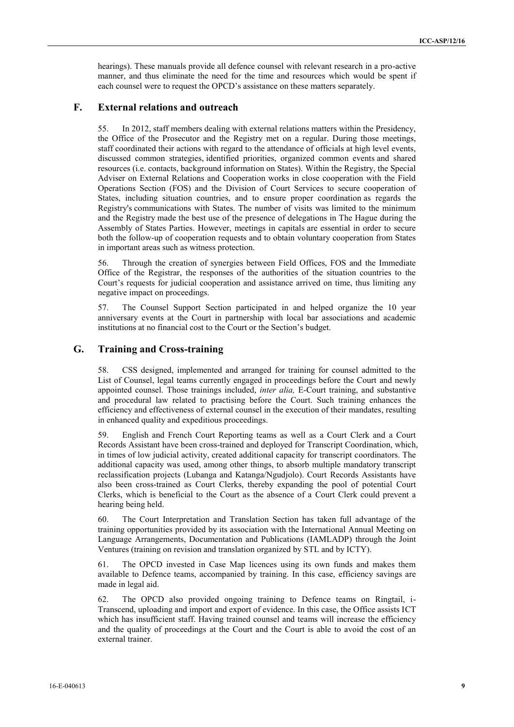hearings). These manuals provide all defence counsel with relevant research in a pro-active manner, and thus eliminate the need for the time and resources which would be spent if each counsel were to request the OPCD's assistance on these matters separately.

#### **F. External relations and outreach**

55. In 2012, staff members dealing with external relations matters within the Presidency, the Office of the Prosecutor and the Registry met on a regular. During those meetings, staff coordinated their actions with regard to the attendance of officials at high level events, discussed common strategies, identified priorities, organized common events and shared resources (i.e. contacts, background information on States). Within the Registry, the Special Adviser on External Relations and Cooperation works in close cooperation with the Field Operations Section (FOS) and the Division of Court Services to secure cooperation of States, including situation countries, and to ensure proper coordination as regards the Registry's communications with States. The number of visits was limited to the minimum and the Registry made the best use of the presence of delegations in The Hague during the Assembly of States Parties. However, meetings in capitals are essential in order to secure both the follow-up of cooperation requests and to obtain voluntary cooperation from States in important areas such as witness protection.

56. Through the creation of synergies between Field Offices, FOS and the Immediate Office of the Registrar, the responses of the authorities of the situation countries to the Court's requests for judicial cooperation and assistance arrived on time, thus limiting any negative impact on proceedings.

57. The Counsel Support Section participated in and helped organize the 10 year anniversary events at the Court in partnership with local bar associations and academic institutions at no financial cost to the Court or the Section's budget.

#### **G. Training and Cross-training**

58. CSS designed, implemented and arranged for training for counsel admitted to the List of Counsel, legal teams currently engaged in proceedings before the Court and newly appointed counsel. Those trainings included, *inter alia,* E-Court training, and substantive and procedural law related to practising before the Court. Such training enhances the efficiency and effectiveness of external counsel in the execution of their mandates, resulting in enhanced quality and expeditious proceedings.

59. English and French Court Reporting teams as well as a Court Clerk and a Court Records Assistant have been cross-trained and deployed for Transcript Coordination, which, in times of low judicial activity, created additional capacity for transcript coordinators. The additional capacity was used, among other things, to absorb multiple mandatory transcript reclassification projects (Lubanga and Katanga/Ngudjolo). Court Records Assistants have also been cross-trained as Court Clerks, thereby expanding the pool of potential Court Clerks, which is beneficial to the Court as the absence of a Court Clerk could prevent a hearing being held.

60. The Court Interpretation and Translation Section has taken full advantage of the training opportunities provided by its association with the International Annual Meeting on Language Arrangements, Documentation and Publications (IAMLADP) through the Joint Ventures (training on revision and translation organized by STL and by ICTY).

61. The OPCD invested in Case Map licences using its own funds and makes them available to Defence teams, accompanied by training. In this case, efficiency savings are made in legal aid.

62. The OPCD also provided ongoing training to Defence teams on Ringtail, i-Transcend, uploading and import and export of evidence. In this case, the Office assists ICT which has insufficient staff. Having trained counsel and teams will increase the efficiency and the quality of proceedings at the Court and the Court is able to avoid the cost of an external trainer.